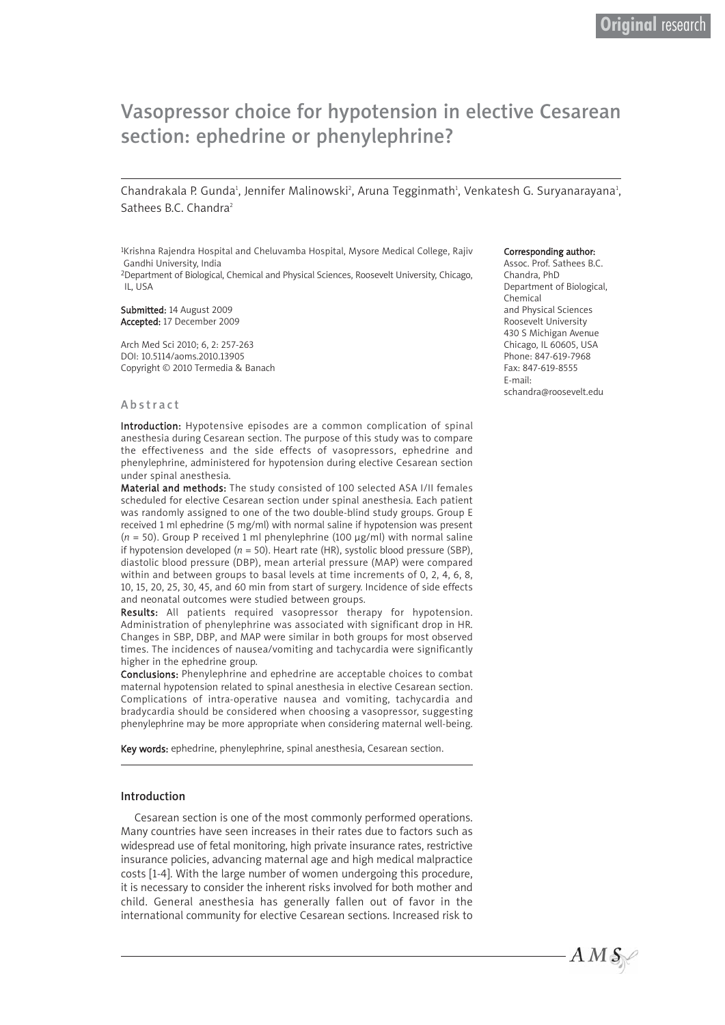# Vasopressor choice for hypotension in elective Cesarean section: ephedrine or phenylephrine?

Chandrakala P. Gunda<sup>ı</sup>, Jennifer Malinowski<sup>2</sup>, Aruna Tegginmath<sup>ı</sup>, Venkatesh G. Suryanarayana<sup>ı</sup>, Sathees B.C. Chandra<sup>2</sup>

1Krishna Rajendra Hospital and Cheluvamba Hospital, Mysore Medical College, Rajiv Gandhi University, India 2Department of Biological, Chemical and Physical Sciences, Roosevelt University, Chicago, IL, USA

Submitted: 14 August 2009 Accepted: 17 December 2009

Arch Med Sci 2010; 6, 2: 257-263 DOI: 10.5114/aoms.2010.13905 Copyright © 2010 Termedia & Banach

#### Abstract

Introduction: Hypotensive episodes are a common complication of spinal anesthesia during Cesarean section. The purpose of this study was to compare the effectiveness and the side effects of vasopressors, ephedrine and phenylephrine, administered for hypotension during elective Cesarean section under spinal anesthesia.

Material and methods: The study consisted of 100 selected ASA I/II females scheduled for elective Cesarean section under spinal anesthesia. Each patient was randomly assigned to one of the two double-blind study groups. Group E received 1 ml ephedrine (5 mg/ml) with normal saline if hypotension was present (*n* = 50). Group P received 1 ml phenylephrine (100 μg/ml) with normal saline if hypotension developed (*n* = 50). Heart rate (HR), systolic blood pressure (SBP), diastolic blood pressure (DBP), mean arterial pressure (MAP) were compared within and between groups to basal levels at time increments of 0, 2, 4, 6, 8, 10, 15, 20, 25, 30, 45, and 60 min from start of surgery. Incidence of side effects and neonatal outcomes were studied between groups.

Results: All patients required vasopressor therapy for hypotension. Administration of phenylephrine was associated with significant drop in HR. Changes in SBP, DBP, and MAP were similar in both groups for most observed times. The incidences of nausea/vomiting and tachycardia were significantly higher in the ephedrine group.

Conclusions: Phenylephrine and ephedrine are acceptable choices to combat maternal hypotension related to spinal anesthesia in elective Cesarean section. Complications of intra-operative nausea and vomiting, tachycardia and bradycardia should be considered when choosing a vasopressor, suggesting phenylephrine may be more appropriate when considering maternal well-being.

Key words: ephedrine, phenylephrine, spinal anesthesia, Cesarean section.

#### Introduction

Cesarean section is one of the most commonly performed operations. Many countries have seen increases in their rates due to factors such as widespread use of fetal monitoring, high private insurance rates, restrictive insurance policies, advancing maternal age and high medical malpractice costs [1-4]. With the large number of women undergoing this procedure, it is necessary to consider the inherent risks involved for both mother and child. General anesthesia has generally fallen out of favor in the international community for elective Cesarean sections. Increased risk to

#### Corresponding author:

Assoc. Prof. Sathees B.C. Chandra, PhD Department of Biological, Chemical and Physical Sciences Roosevelt University 430 S Michigan Avenue Chicago, IL 60605, USA Phone: 847-619-7968 Fax: 847-619-8555 E-mail: schandra@roosevelt.edu

 $AMS$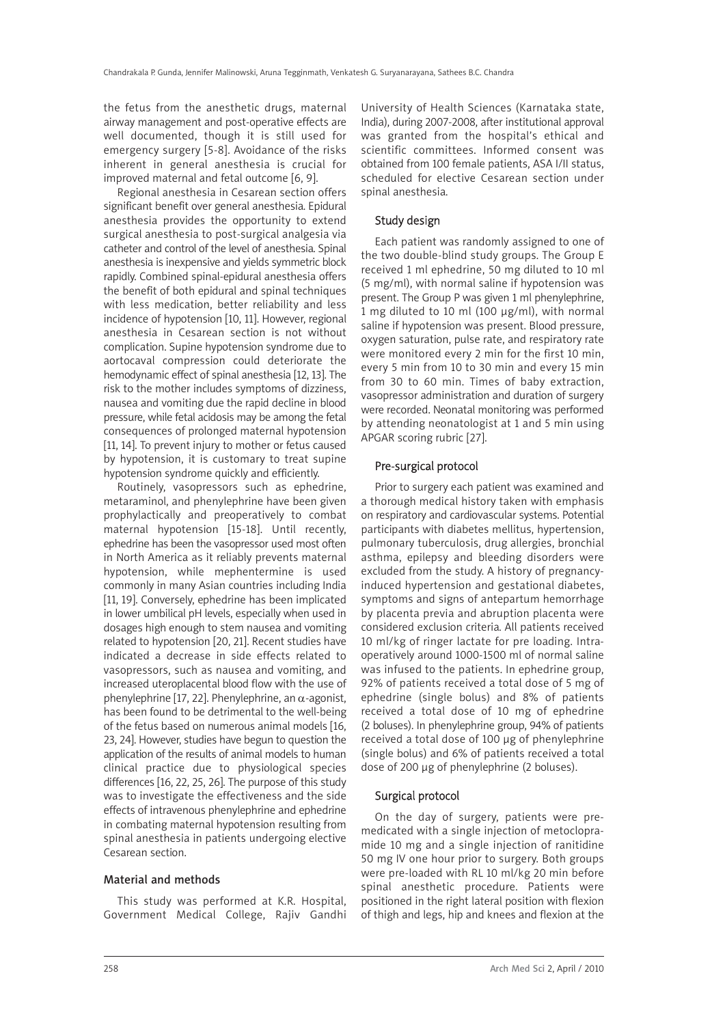the fetus from the anesthetic drugs, maternal airway management and post-operative effects are well documented, though it is still used for emergency surgery [5-8]. Avoidance of the risks inherent in general anesthesia is crucial for improved maternal and fetal outcome [6, 9].

Regional anesthesia in Cesarean section offers significant benefit over general anesthesia. Epidural anesthesia provides the opportunity to extend surgical anesthesia to post-surgical analgesia via catheter and control of the level of anesthesia. Spinal anesthesia is inexpensive and yields symmetric block rapidly. Combined spinal-epidural anesthesia offers the benefit of both epidural and spinal techniques with less medication, better reliability and less incidence of hypotension [10, 11]. However, regional anesthesia in Cesarean section is not without complication. Supine hypotension syndrome due to aortocaval compression could deteriorate the hemodynamic effect of spinal anesthesia [12, 13]. The risk to the mother includes symptoms of dizziness, nausea and vomiting due the rapid decline in blood pressure, while fetal acidosis may be among the fetal consequences of prolonged maternal hypotension [11, 14]. To prevent injury to mother or fetus caused by hypotension, it is customary to treat supine hypotension syndrome quickly and efficiently.

Routinely, vasopressors such as ephedrine, metaraminol, and phenylephrine have been given prophylactically and preoperatively to combat maternal hypotension [15-18]. Until recently, ephedrine has been the vasopressor used most often in North America as it reliably prevents maternal hypotension, while mephentermine is used commonly in many Asian countries including India [11, 19]. Conversely, ephedrine has been implicated in lower umbilical pH levels, especially when used in dosages high enough to stem nausea and vomiting related to hypotension [20, 21]. Recent studies have indicated a decrease in side effects related to vasopressors, such as nausea and vomiting, and increased uteroplacental blood flow with the use of phenylephrine [17, 22]. Phenylephrine, an  $α$ -agonist, has been found to be detrimental to the well-being of the fetus based on numerous animal models [16, 23, 24]. However, studies have begun to question the application of the results of animal models to human clinical practice due to physiological species differences [16, 22, 25, 26]. The purpose of this study was to investigate the effectiveness and the side effects of intravenous phenylephrine and ephedrine in combating maternal hypotension resulting from spinal anesthesia in patients undergoing elective Cesarean section.

## Material and methods

This study was performed at K.R. Hospital, Government Medical College, Rajiv Gandhi University of Health Sciences (Karnataka state, India), during 2007-2008, after institutional approval was granted from the hospital's ethical and scientific committees. Informed consent was obtained from 100 female patients, ASA I/II status, scheduled for elective Cesarean section under spinal anesthesia.

## Study design

Each patient was randomly assigned to one of the two double-blind study groups. The Group E received 1 ml ephedrine, 50 mg diluted to 10 ml (5 mg/ml), with normal saline if hypotension was present. The Group P was given 1 ml phenylephrine, 1 mg diluted to 10 ml (100 μg/ml), with normal saline if hypotension was present. Blood pressure, oxygen saturation, pulse rate, and respiratory rate were monitored every 2 min for the first 10 min, every 5 min from 10 to 30 min and every 15 min from 30 to 60 min. Times of baby extraction, vasopressor administration and duration of surgery were recorded. Neonatal monitoring was performed by attending neonatologist at 1 and 5 min using APGAR scoring rubric [27].

#### Pre-surgical protocol

Prior to surgery each patient was examined and a thorough medical history taken with emphasis on respiratory and cardiovascular systems. Potential participants with diabetes mellitus, hypertension, pulmonary tuberculosis, drug allergies, bronchial asthma, epilepsy and bleeding disorders were excluded from the study. A history of pregnancyinduced hypertension and gestational diabetes, symptoms and signs of antepartum hemorrhage by placenta previa and abruption placenta were considered exclusion criteria. All patients received 10 ml/kg of ringer lactate for pre loading. Intraoperatively around 1000-1500 ml of normal saline was infused to the patients. In ephedrine group, 92% of patients received a total dose of 5 mg of ephedrine (single bolus) and 8% of patients received a total dose of 10 mg of ephedrine (2 boluses). In phenylephrine group, 94% of patients received a total dose of 100 μg of phenylephrine (single bolus) and 6% of patients received a total dose of 200 μg of phenylephrine (2 boluses).

## Surgical protocol

On the day of surgery, patients were premedicated with a single injection of metoclopramide 10 mg and a single injection of ranitidine 50 mg IV one hour prior to surgery. Both groups were pre-loaded with RL 10 ml/kg 20 min before spinal anesthetic procedure. Patients were positioned in the right lateral position with flexion of thigh and legs, hip and knees and flexion at the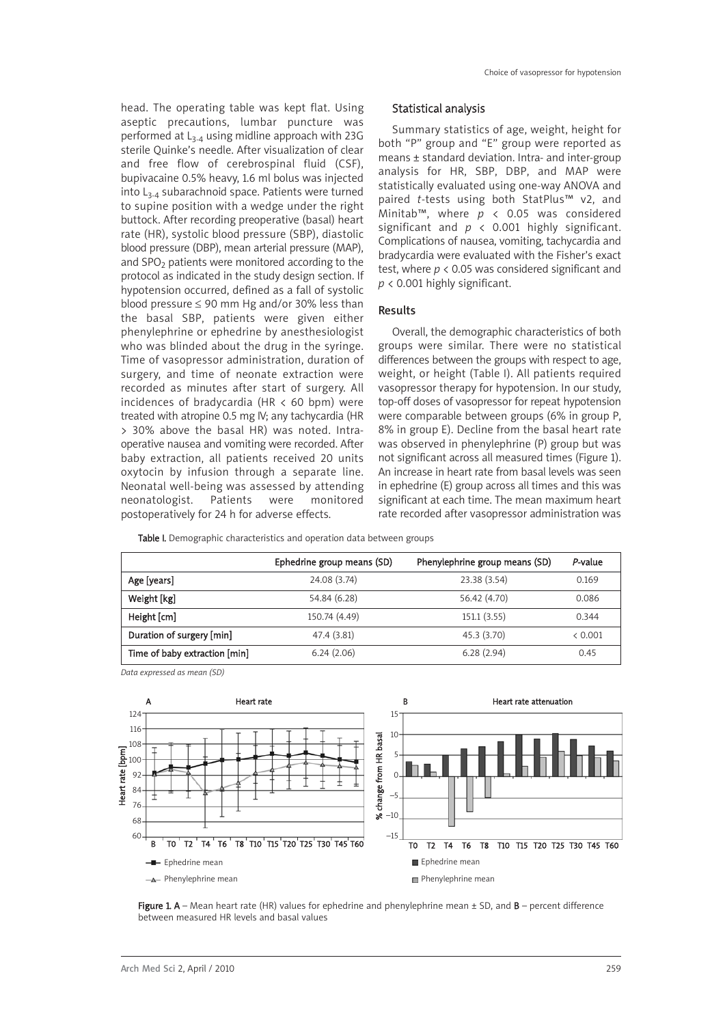head. The operating table was kept flat. Using aseptic precautions, lumbar puncture was performed at  $L_{3-4}$  using midline approach with 23G sterile Quinke's needle. After visualization of clear and free flow of cerebrospinal fluid (CSF), bupivacaine 0.5% heavy, 1.6 ml bolus was injected into  $L_{3,4}$  subarachnoid space. Patients were turned to supine position with a wedge under the right buttock. After recording preoperative (basal) heart rate (HR), systolic blood pressure (SBP), diastolic blood pressure (DBP), mean arterial pressure (MAP), and  $SPO<sub>2</sub>$  patients were monitored according to the protocol as indicated in the study design section. If hypotension occurred, defined as a fall of systolic blood pressure ≤ 90 mm Hg and/or 30% less than the basal SBP, patients were given either phenylephrine or ephedrine by anesthesiologist who was blinded about the drug in the syringe. Time of vasopressor administration, duration of surgery, and time of neonate extraction were recorded as minutes after start of surgery. All incidences of bradycardia (HR  $\lt$  60 bpm) were treated with atropine 0.5 mg IV; any tachycardia (HR > 30% above the basal HR) was noted. Intraoperative nausea and vomiting were recorded. After baby extraction, all patients received 20 units oxytocin by infusion through a separate line. Neonatal well-being was assessed by attending neonatologist. Patients were monitored postoperatively for 24 h for adverse effects.

#### Statistical analysis

Summary statistics of age, weight, height for both "P" group and "E" group were reported as means ± standard deviation. Intra- and inter-group analysis for HR, SBP, DBP, and MAP were statistically evaluated using one-way ANOVA and paired *t*-tests using both StatPlus™ v2, and Minitab™, where *p* < 0.05 was considered significant and  $p \lt 0.001$  highly significant. Complications of nausea, vomiting, tachycardia and bradycardia were evaluated with the Fisher's exact test, where *p* < 0.05 was considered significant and *p* < 0.001 highly significant.

#### Results

Overall, the demographic characteristics of both groups were similar. There were no statistical differences between the groups with respect to age, weight, or height (Table I). All patients required vasopressor therapy for hypotension. In our study, top-off doses of vasopressor for repeat hypotension were comparable between groups (6% in group P, 8% in group E). Decline from the basal heart rate was observed in phenylephrine (P) group but was not significant across all measured times (Figure 1). An increase in heart rate from basal levels was seen in ephedrine (E) group across all times and this was significant at each time. The mean maximum heart rate recorded after vasopressor administration was

Table I. Demographic characteristics and operation data between groups

|                               | Ephedrine group means (SD) | Phenylephrine group means (SD) | P-value |
|-------------------------------|----------------------------|--------------------------------|---------|
| Age [years]                   | 24.08 (3.74)               | 23.38 (3.54)                   | 0.169   |
| Weight [kg]                   | 54.84 (6.28)               | 56.42 (4.70)                   | 0.086   |
| Height [cm]                   | 150.74 (4.49)              | 151.1(3.55)                    | 0.344   |
| Duration of surgery [min]     | 47.4 (3.81)                | 45.3 (3.70)                    | < 0.001 |
| Time of baby extraction [min] | 6.24(2.06)                 | 6.28(2.94)                     | 0.45    |

*Data expressed as mean (SD)*



Figure 1. A – Mean heart rate (HR) values for ephedrine and phenylephrine mean  $\pm$  SD, and  $B$  – percent difference between measured HR levels and basal values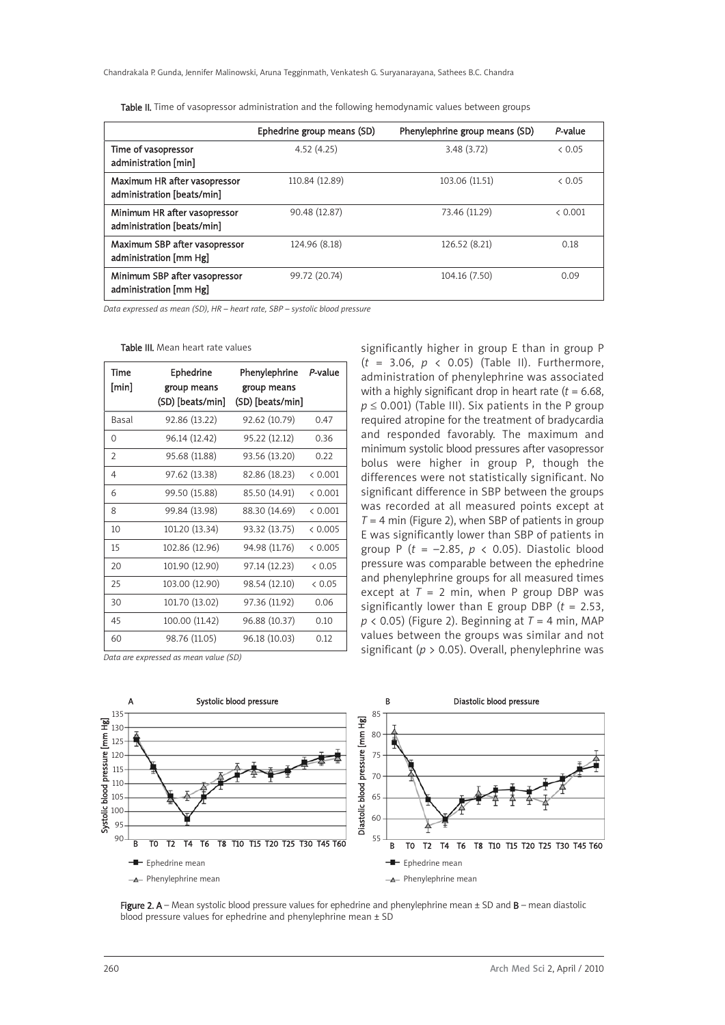|                                                            | Ephedrine group means (SD) | Phenylephrine group means (SD) | P-value |
|------------------------------------------------------------|----------------------------|--------------------------------|---------|
| Time of vasopressor<br>administration [min]                | 4.52(4.25)                 | 3.48 (3.72)                    | & 0.05  |
| Maximum HR after vasopressor<br>administration [beats/min] | 110.84 (12.89)             | 103.06 (11.51)                 | & 0.05  |
| Minimum HR after vasopressor<br>administration [beats/min] | 90.48 (12.87)              | 73.46 (11.29)                  | & 0.001 |
| Maximum SBP after vasopressor<br>administration [mm Hg]    | 124.96 (8.18)              | 126.52 (8.21)                  | 0.18    |
| Minimum SBP after vasopressor<br>administration [mm Hg]    | 99.72 (20.74)              | 104.16 (7.50)                  | 0.09    |

Table II. Time of vasopressor administration and the following hemodynamic values between groups

*Data expressed as mean (SD), HR – heart rate, SBP – systolic blood pressure*

Table III. Mean heart rate values

| Time<br>[min] | Ephedrine<br>group means<br>(SD) [beats/min] | Phenylephrine<br>group means<br>(SD) [beats/min] | P-value |
|---------------|----------------------------------------------|--------------------------------------------------|---------|
| Basal         | 92.86 (13.22)                                | 92.62 (10.79)                                    | 0.47    |
| $\Omega$      | 96.14 (12.42)                                | 95.22 (12.12)                                    | 0.36    |
| 2             | 95.68 (11.88)                                | 93.56 (13.20)                                    | 0.22    |
| 4             | 97.62 (13.38)                                | 82.86 (18.23)                                    | & 0.001 |
| 6             | 99.50 (15.88)                                | 85.50 (14.91)                                    | & 0.001 |
| 8             | 99.84 (13.98)                                | 88.30 (14.69)                                    | < 0.001 |
| 10            | 101.20 (13.34)                               | 93.32 (13.75)                                    | & 0.005 |
| 15            | 102.86 (12.96)                               | 94.98 (11.76)                                    | < 0.005 |
| 20            | 101.90 (12.90)                               | 97.14 (12.23)                                    | & 0.05  |
| 25            | 103.00 (12.90)                               | 98.54 (12.10)                                    | & 0.05  |
| 30            | 101.70 (13.02)                               | 97.36 (11.92)                                    | 0.06    |
| 45            | 100.00 (11.42)                               | 96.88 (10.37)                                    | 0.10    |
| 60            | 98.76 (11.05)                                | 96.18 (10.03)                                    | 0.12    |

*Data are expressed as mean value (SD)*

significantly higher in group E than in group P (*t* = 3.06, *p* < 0.05) (Table II). Furthermore, administration of phenylephrine was associated with a highly significant drop in heart rate  $(t = 6.68,$  $p \le 0.001$ ) (Table III). Six patients in the P group required atropine for the treatment of bradycardia and responded favorably. The maximum and minimum systolic blood pressures after vasopressor bolus were higher in group P, though the differences were not statistically significant. No significant difference in SBP between the groups was recorded at all measured points except at *T* = 4 min (Figure 2), when SBP of patients in group E was significantly lower than SBP of patients in group P (*t* = –2.85, *p* < 0.05). Diastolic blood pressure was comparable between the ephedrine and phenylephrine groups for all measured times except at  $T = 2$  min, when P group DBP was significantly lower than E group DBP (*t* = 2.53, *p* < 0.05) (Figure 2). Beginning at *T* = 4 min, MAP values between the groups was similar and not significant (*p* > 0.05). Overall, phenylephrine was



Figure 2. A – Mean systolic blood pressure values for ephedrine and phenylephrine mean ± SD and B – mean diastolic blood pressure values for ephedrine and phenylephrine mean ± SD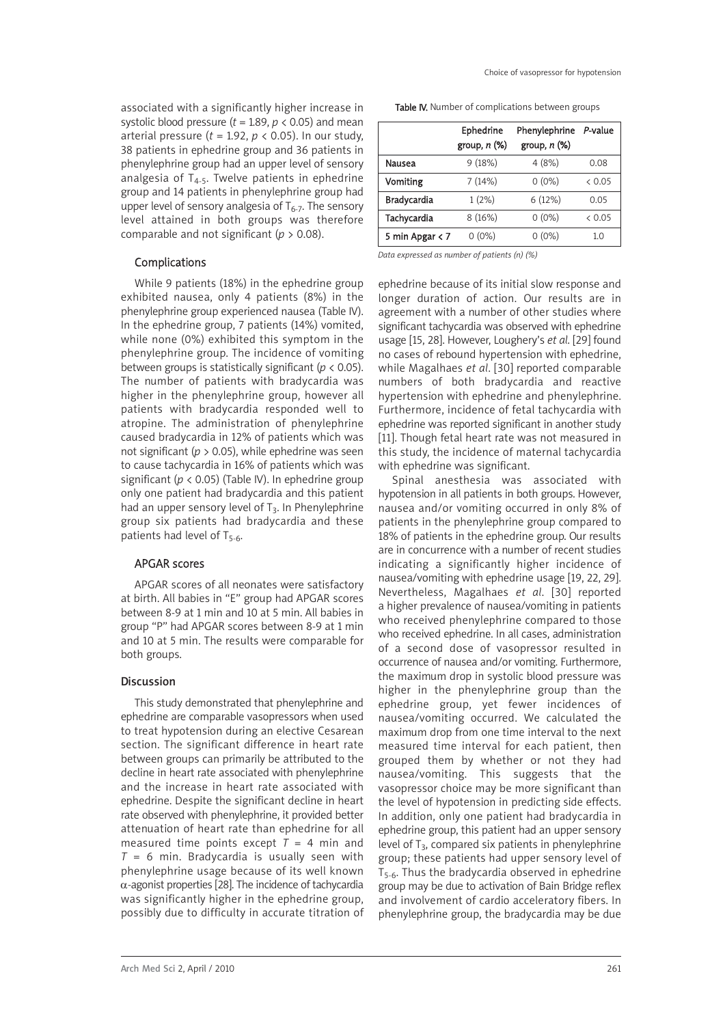associated with a significantly higher increase in systolic blood pressure ( $t = 1.89$ ,  $p < 0.05$ ) and mean arterial pressure  $(t = 1.92, p < 0.05)$ . In our study, 38 patients in ephedrine group and 36 patients in phenylephrine group had an upper level of sensory analgesia of  $T_{4-5}$ . Twelve patients in ephedrine group and 14 patients in phenylephrine group had upper level of sensory analgesia of  $T_{6-7}$ . The sensory level attained in both groups was therefore comparable and not significant (*p* > 0.08).

## Complications

While 9 patients (18%) in the ephedrine group exhibited nausea, only 4 patients (8%) in the phenylephrine group experienced nausea (Table IV). In the ephedrine group, 7 patients (14%) vomited, while none (0%) exhibited this symptom in the phenylephrine group. The incidence of vomiting between groups is statistically significant (*p* < 0.05). The number of patients with bradycardia was higher in the phenylephrine group, however all patients with bradycardia responded well to atropine. The administration of phenylephrine caused bradycardia in 12% of patients which was not significant (*p* > 0.05), while ephedrine was seen to cause tachycardia in 16% of patients which was significant (*p* < 0.05) (Table IV). In ephedrine group only one patient had bradycardia and this patient had an upper sensory level of  $T_3$ . In Phenylephrine group six patients had bradycardia and these patients had level of  $T_{5-6}$ .

# APGAR scores

APGAR scores of all neonates were satisfactory at birth. All babies in "E" group had APGAR scores between 8-9 at 1 min and 10 at 5 min. All babies in group "P" had APGAR scores between 8-9 at 1 min and 10 at 5 min. The results were comparable for both groups.

# Discussion

This study demonstrated that phenylephrine and ephedrine are comparable vasopressors when used to treat hypotension during an elective Cesarean section. The significant difference in heart rate between groups can primarily be attributed to the decline in heart rate associated with phenylephrine and the increase in heart rate associated with ephedrine. Despite the significant decline in heart rate observed with phenylephrine, it provided better attenuation of heart rate than ephedrine for all measured time points except  $T = 4$  min and *T* = 6 min. Bradycardia is usually seen with phenylephrine usage because of its well known  $\alpha$ -agonist properties [28]. The incidence of tachycardia was significantly higher in the ephedrine group, possibly due to difficulty in accurate titration of

| Table IV. Number of complications between groups |  |
|--------------------------------------------------|--|
|--------------------------------------------------|--|

|                 | Ephedrine<br>group, $n$ $%$ | Phenylephrine<br>group, $n$ $%$ | P-value |
|-----------------|-----------------------------|---------------------------------|---------|
| Nausea          | 9(18%)                      | 4(8%)                           | 0.08    |
| Vomiting        | 7(14%)                      | $0(0\%)$                        | & 0.05  |
| Bradycardia     | 1(2%)                       | 6(12%)                          | 0.05    |
| Tachycardia     | 8(16%)                      | $0(0\%)$                        | & 0.05  |
| 5 min Apgar < 7 | $0(0\%)$                    | $0(0\%)$                        | 1.0     |

*Data expressed as number of patients (n) (%)*

ephedrine because of its initial slow response and longer duration of action. Our results are in agreement with a number of other studies where significant tachycardia was observed with ephedrine usage [15, 28]. However, Loughery's *et al*. [29] found no cases of rebound hypertension with ephedrine, while Magalhaes *et al*. [30] reported comparable numbers of both bradycardia and reactive hypertension with ephedrine and phenylephrine. Furthermore, incidence of fetal tachycardia with ephedrine was reported significant in another study [11]. Though fetal heart rate was not measured in this study, the incidence of maternal tachycardia with ephedrine was significant.

Spinal anesthesia was associated with hypotension in all patients in both groups. However, nausea and/or vomiting occurred in only 8% of patients in the phenylephrine group compared to 18% of patients in the ephedrine group. Our results are in concurrence with a number of recent studies indicating a significantly higher incidence of nausea/vomiting with ephedrine usage [19, 22, 29]. Nevertheless, Magalhaes *et al*. [30] reported a higher prevalence of nausea/vomiting in patients who received phenylephrine compared to those who received ephedrine. In all cases, administration of a second dose of vasopressor resulted in occurrence of nausea and/or vomiting. Furthermore, the maximum drop in systolic blood pressure was higher in the phenylephrine group than the ephedrine group, yet fewer incidences of nausea/vomiting occurred. We calculated the maximum drop from one time interval to the next measured time interval for each patient, then grouped them by whether or not they had nausea/vomiting. This suggests that the vasopressor choice may be more significant than the level of hypotension in predicting side effects. In addition, only one patient had bradycardia in ephedrine group, this patient had an upper sensory level of  $T_3$ , compared six patients in phenylephrine group; these patients had upper sensory level of  $T_{5-6}$ . Thus the bradycardia observed in ephedrine group may be due to activation of Bain Bridge reflex and involvement of cardio acceleratory fibers. In phenylephrine group, the bradycardia may be due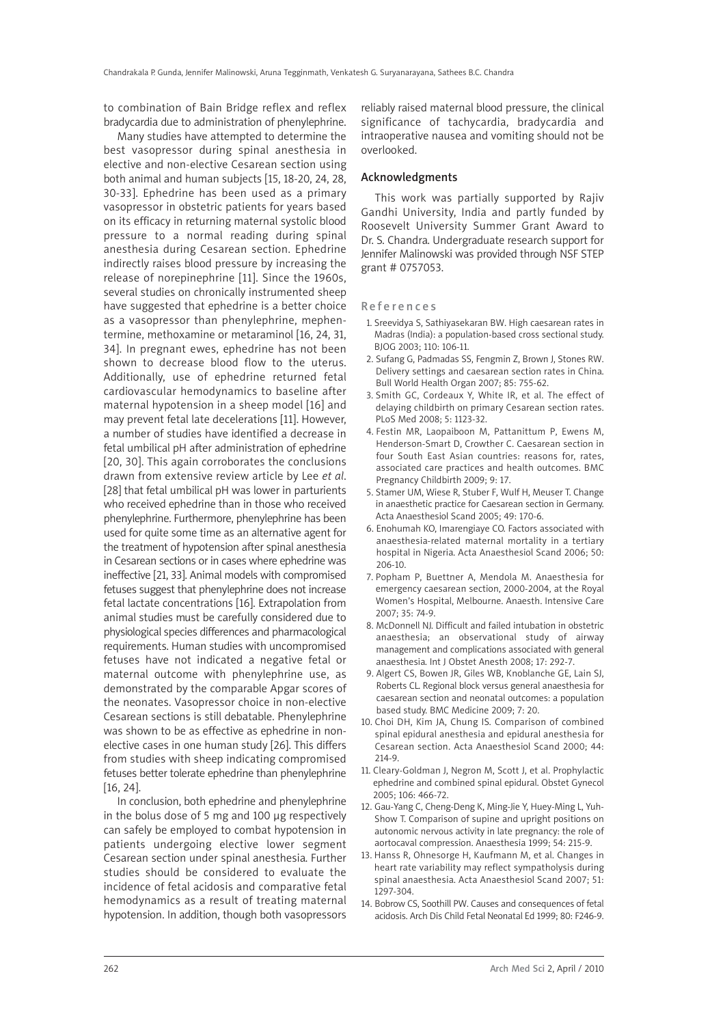to combination of Bain Bridge reflex and reflex bradycardia due to administration of phenylephrine.

Many studies have attempted to determine the best vasopressor during spinal anesthesia in elective and non-elective Cesarean section using both animal and human subjects [15, 18-20, 24, 28, 30-33]. Ephedrine has been used as a primary vasopressor in obstetric patients for years based on its efficacy in returning maternal systolic blood pressure to a normal reading during spinal anesthesia during Cesarean section. Ephedrine indirectly raises blood pressure by increasing the release of norepinephrine [11]. Since the 1960s, several studies on chronically instrumented sheep have suggested that ephedrine is a better choice as a vasopressor than phenylephrine, mephentermine, methoxamine or metaraminol [16, 24, 31, 34]. In pregnant ewes, ephedrine has not been shown to decrease blood flow to the uterus. Additionally, use of ephedrine returned fetal cardiovascular hemodynamics to baseline after maternal hypotension in a sheep model [16] and may prevent fetal late decelerations [11]. However, a number of studies have identified a decrease in fetal umbilical pH after administration of ephedrine [20, 30]. This again corroborates the conclusions drawn from extensive review article by Lee *et al*. [28] that fetal umbilical pH was lower in parturients who received ephedrine than in those who received phenylephrine. Furthermore, phenylephrine has been used for quite some time as an alternative agent for the treatment of hypotension after spinal anesthesia in Cesarean sections or in cases where ephedrine was ineffective [21, 33]. Animal models with compromised fetuses suggest that phenylephrine does not increase fetal lactate concentrations [16]. Extrapolation from animal studies must be carefully considered due to physiological species differences and pharmacological requirements. Human studies with uncompromised fetuses have not indicated a negative fetal or maternal outcome with phenylephrine use, as demonstrated by the comparable Apgar scores of the neonates. Vasopressor choice in non-elective Cesarean sections is still debatable. Phenylephrine was shown to be as effective as ephedrine in nonelective cases in one human study [26]. This differs from studies with sheep indicating compromised fetuses better tolerate ephedrine than phenylephrine [16, 24].

In conclusion, both ephedrine and phenylephrine in the bolus dose of 5 mg and 100 μg respectively can safely be employed to combat hypotension in patients undergoing elective lower segment Cesarean section under spinal anesthesia. Further studies should be considered to evaluate the incidence of fetal acidosis and comparative fetal hemodynamics as a result of treating maternal hypotension. In addition, though both vasopressors

reliably raised maternal blood pressure, the clinical significance of tachycardia, bradycardia and intraoperative nausea and vomiting should not be overlooked.

#### Acknowledgments

This work was partially supported by Rajiv Gandhi University, India and partly funded by Roosevelt University Summer Grant Award to Dr. S. Chandra. Undergraduate research support for Jennifer Malinowski was provided through NSF STEP grant # 0757053.

#### References

- 1. Sreevidya S, Sathiyasekaran BW. High caesarean rates in Madras (India): a population-based cross sectional study. BJOG 2003; 110: 106-11.
- 2. Sufang G, Padmadas SS, Fengmin Z, Brown J, Stones RW. Delivery settings and caesarean section rates in China. Bull World Health Organ 2007; 85: 755-62.
- 3. Smith GC, Cordeaux Y, White IR, et al. The effect of delaying childbirth on primary Cesarean section rates. PLoS Med 2008; 5: 1123-32.
- 4. Festin MR, Laopaiboon M, Pattanittum P, Ewens M, Henderson-Smart D, Crowther C. Caesarean section in four South East Asian countries: reasons for, rates, associated care practices and health outcomes. BMC Pregnancy Childbirth 2009; 9: 17.
- 5. Stamer UM, Wiese R, Stuber F, Wulf H, Meuser T. Change in anaesthetic practice for Caesarean section in Germany. Acta Anaesthesiol Scand 2005; 49: 170-6.
- 6. Enohumah KO, Imarengiaye CO. Factors associated with anaesthesia-related maternal mortality in a tertiary hospital in Nigeria. Acta Anaesthesiol Scand 2006; 50: 206-10.
- 7. Popham P, Buettner A, Mendola M. Anaesthesia for emergency caesarean section, 2000-2004, at the Royal Women's Hospital, Melbourne. Anaesth. Intensive Care 2007; 35: 74-9.
- 8. McDonnell NJ. Difficult and failed intubation in obstetric anaesthesia; an observational study of airway management and complications associated with general anaesthesia. Int J Obstet Anesth 2008; 17: 292-7.
- 9. Algert CS, Bowen JR, Giles WB, Knoblanche GE, Lain SJ, Roberts CL. Regional block versus general anaesthesia for caesarean section and neonatal outcomes: a population based study. BMC Medicine 2009; 7: 20.
- 10. Choi DH, Kim JA, Chung IS. Comparison of combined spinal epidural anesthesia and epidural anesthesia for Cesarean section. Acta Anaesthesiol Scand 2000; 44: 214-9.
- 11. Cleary-Goldman J, Negron M, Scott J, et al. Prophylactic ephedrine and combined spinal epidural. Obstet Gynecol 2005; 106: 466-72.
- 12. Gau-Yang C, Cheng-Deng K, Ming-Jie Y, Huey-Ming L, Yuh-Show T. Comparison of supine and upright positions on autonomic nervous activity in late pregnancy: the role of aortocaval compression. Anaesthesia 1999; 54: 215-9.
- 13. Hanss R, Ohnesorge H, Kaufmann M, et al. Changes in heart rate variability may reflect sympatholysis during spinal anaesthesia. Acta Anaesthesiol Scand 2007; 51: 1297-304.
- 14. Bobrow CS, Soothill PW. Causes and consequences of fetal acidosis. Arch Dis Child Fetal Neonatal Ed 1999; 80: F246-9.